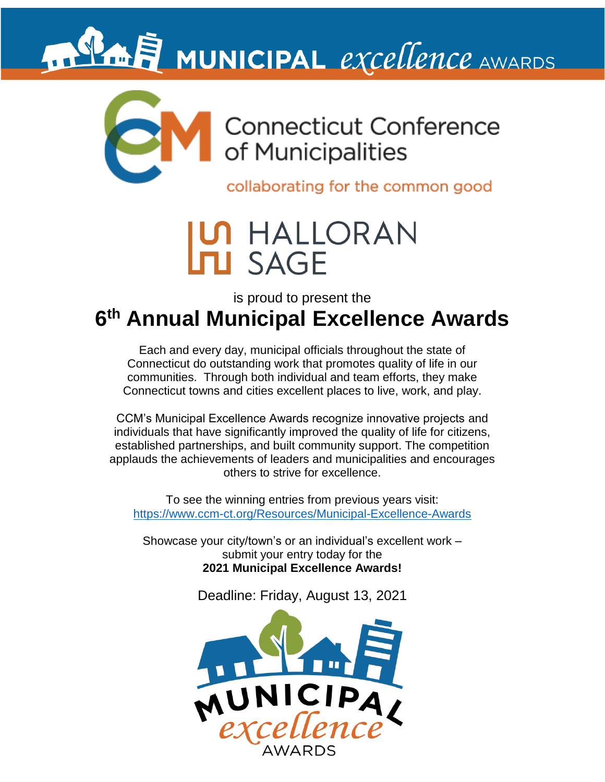

collaborating for the common good

## HALLORAN **J SAGE**

is proud to present the

### **6 th Annual Municipal Excellence Awards**

Each and every day, municipal officials throughout the state of Connecticut do outstanding work that promotes quality of life in our communities. Through both individual and team efforts, they make Connecticut towns and cities excellent places to live, work, and play.

CCM's Municipal Excellence Awards recognize innovative projects and individuals that have significantly improved the quality of life for citizens, established partnerships, and built community support. The competition applauds the achievements of leaders and municipalities and encourages others to strive for excellence.

To see the winning entries from previous years visit: <https://www.ccm-ct.org/Resources/Municipal-Excellence-Awards>

Showcase your city/town's or an individual's excellent work – submit your entry today for the **2021 Municipal Excellence Awards!**

Deadline: Friday, August 13, 2021

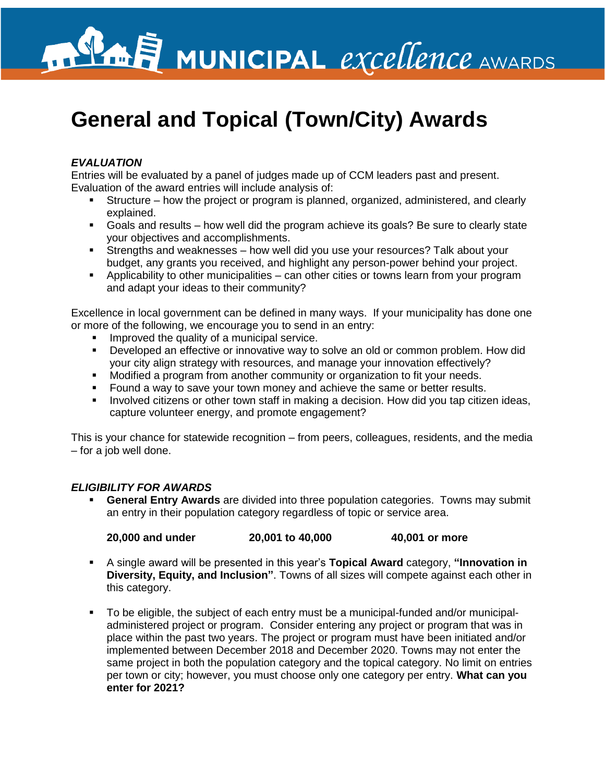

## **General and Topical (Town/City) Awards**

#### *EVALUATION*

Entries will be evaluated by a panel of judges made up of CCM leaders past and present. Evaluation of the award entries will include analysis of:

- Structure how the project or program is planned, organized, administered, and clearly explained.
- Goals and results how well did the program achieve its goals? Be sure to clearly state your objectives and accomplishments.
- **EXTERGHEES 21 Strengths and weaknesses how well did you use your resources? Talk about your** budget, any grants you received, and highlight any person-power behind your project.
- **•** Applicability to other municipalities can other cities or towns learn from your program and adapt your ideas to their community?

Excellence in local government can be defined in many ways. If your municipality has done one or more of the following, we encourage you to send in an entry:

- **Improved the quality of a municipal service.**
- **•** Developed an effective or innovative way to solve an old or common problem. How did your city align strategy with resources, and manage your innovation effectively?
- Modified a program from another community or organization to fit your needs.
- Found a way to save your town money and achieve the same or better results.
- **•** Involved citizens or other town staff in making a decision. How did you tap citizen ideas, capture volunteer energy, and promote engagement?

This is your chance for statewide recognition – from peers, colleagues, residents, and the media – for a job well done.

#### *ELIGIBILITY FOR AWARDS*

**General Entry Awards** are divided into three population categories. Towns may submit an entry in their population category regardless of topic or service area.

**20,000 and under 20,001 to 40,000 40,001 or more**

- A single award will be presented in this year's **Topical Award** category, **"Innovation in Diversity, Equity, and Inclusion"**. Towns of all sizes will compete against each other in this category.
- To be eligible, the subject of each entry must be a municipal-funded and/or municipaladministered project or program. Consider entering any project or program that was in place within the past two years. The project or program must have been initiated and/or implemented between December 2018 and December 2020. Towns may not enter the same project in both the population category and the topical category. No limit on entries per town or city; however, you must choose only one category per entry. **What can you enter for 2021?**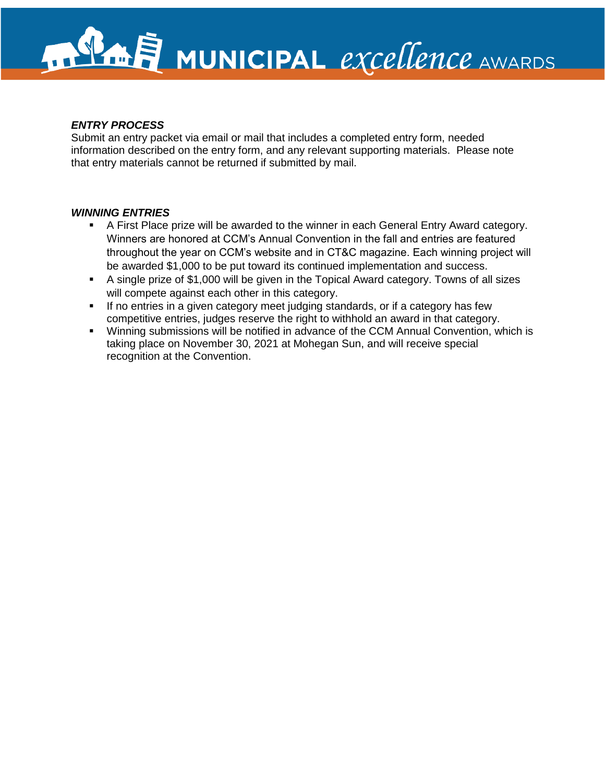#### *ENTRY PROCESS*

Submit an entry packet via email or mail that includes a completed entry form, needed information described on the entry form, and any relevant supporting materials. Please note that entry materials cannot be returned if submitted by mail.

#### *WINNING ENTRIES*

- A First Place prize will be awarded to the winner in each General Entry Award category. Winners are honored at CCM's Annual Convention in the fall and entries are featured throughout the year on CCM's website and in CT&C magazine. Each winning project will be awarded \$1,000 to be put toward its continued implementation and success.
- A single prize of \$1,000 will be given in the Topical Award category. Towns of all sizes will compete against each other in this category.
- If no entries in a given category meet judging standards, or if a category has few competitive entries, judges reserve the right to withhold an award in that category.
- Winning submissions will be notified in advance of the CCM Annual Convention, which is taking place on November 30, 2021 at Mohegan Sun, and will receive special recognition at the Convention.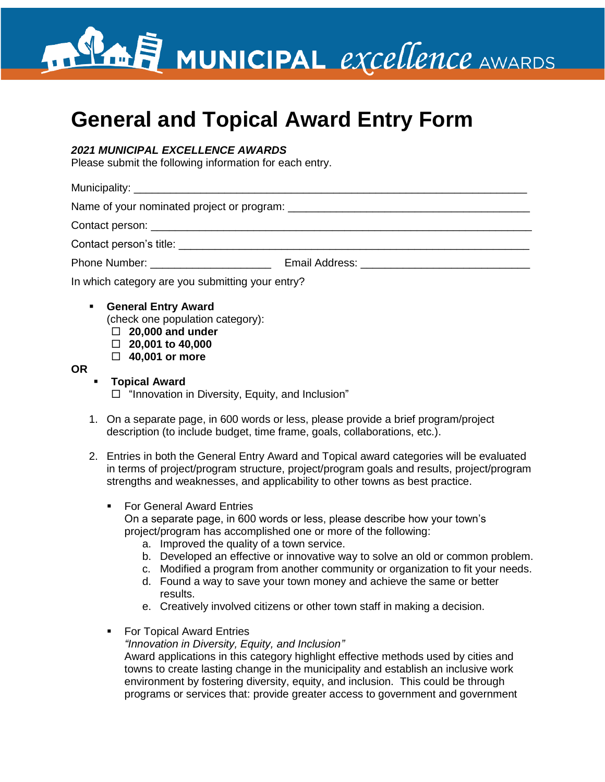### **General and Topical Award Entry Form**

#### *2021 MUNICIPAL EXCELLENCE AWARDS*

Please submit the following information for each entry.

Municipality:  $\blacksquare$ 

Name of your nominated project or program: \_\_\_\_\_\_\_\_\_\_\_\_\_\_\_\_\_\_\_\_\_\_\_\_\_\_\_\_\_\_\_\_\_\_\_\_\_\_\_\_

Contact person: \_\_\_\_\_\_\_\_\_\_\_\_\_\_\_\_\_\_\_\_\_\_\_\_\_\_\_\_\_\_\_\_\_\_\_\_\_\_\_\_\_\_\_\_\_\_\_\_\_\_\_\_\_\_\_\_\_\_\_\_\_\_\_

Contact person's title: **Example 2018** 

Phone Number: \_\_\_\_\_\_\_\_\_\_\_\_\_\_\_\_\_\_\_\_ Email Address: \_\_\_\_\_\_\_\_\_\_\_\_\_\_\_\_\_\_\_\_\_\_\_\_\_\_\_\_

In which category are you submitting your entry?

- **General Entry Award** (check one population category): **20,000 and under** 
	- **20,001 to 40,000**

**40,001 or more**

#### **OR**

▪ **Topical Award**

 $\Box$  "Innovation in Diversity, Equity, and Inclusion"

- 1. On a separate page, in 600 words or less, please provide a brief program/project description (to include budget, time frame, goals, collaborations, etc.).
- 2. Entries in both the General Entry Award and Topical award categories will be evaluated in terms of project/program structure, project/program goals and results, project/program strengths and weaknesses, and applicability to other towns as best practice.
	- For General Award Entries On a separate page, in 600 words or less, please describe how your town's project/program has accomplished one or more of the following:
		- a. Improved the quality of a town service.
		- b. Developed an effective or innovative way to solve an old or common problem.
		- c. Modified a program from another community or organization to fit your needs.
		- d. Found a way to save your town money and achieve the same or better results.
		- e. Creatively involved citizens or other town staff in making a decision.
	- For Topical Award Entries

*"Innovation in Diversity, Equity, and Inclusion"*

Award applications in this category highlight effective methods used by cities and towns to create lasting change in the municipality and establish an inclusive work environment by fostering diversity, equity, and inclusion. This could be through programs or services that: provide greater access to government and government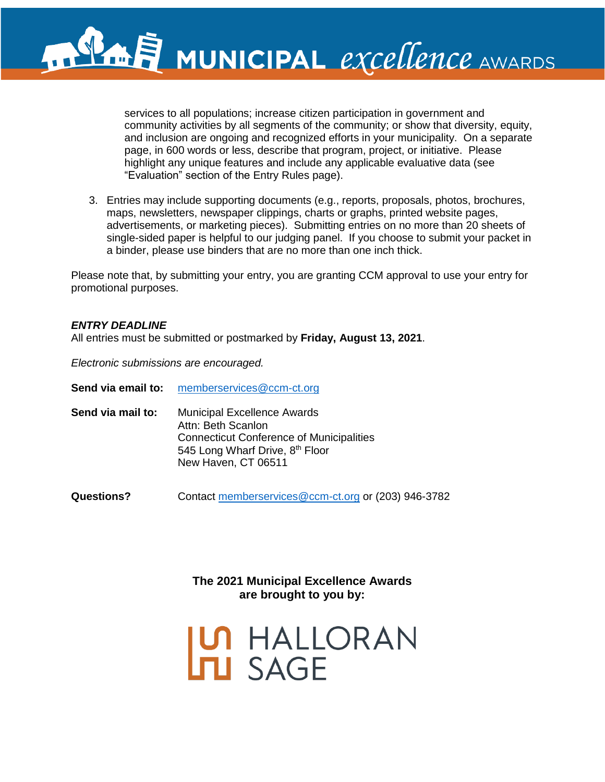services to all populations; increase citizen participation in government and community activities by all segments of the community; or show that diversity, equity, and inclusion are ongoing and recognized efforts in your municipality. On a separate page, in 600 words or less, describe that program, project, or initiative. Please highlight any unique features and include any applicable evaluative data (see "Evaluation" section of the Entry Rules page).

3. Entries may include supporting documents (e.g., reports, proposals, photos, brochures, maps, newsletters, newspaper clippings, charts or graphs, printed website pages, advertisements, or marketing pieces). Submitting entries on no more than 20 sheets of single-sided paper is helpful to our judging panel. If you choose to submit your packet in a binder, please use binders that are no more than one inch thick.

Please note that, by submitting your entry, you are granting CCM approval to use your entry for promotional purposes.

#### *ENTRY DEADLINE*

All entries must be submitted or postmarked by **Friday, August 13, 2021**.

*Electronic submissions are encouraged.*

| Send via email to: | memberservices@ccm-ct.org |
|--------------------|---------------------------|
|                    |                           |

**Send via mail to:** Municipal Excellence Awards Attn: Beth Scanlon Connecticut Conference of Municipalities 545 Long Wharf Drive, 8<sup>th</sup> Floor New Haven, CT 06511

**Questions?** Contact [memberservices@ccm-ct.org](mailto:memberservices@ccm-ct.org) or (203) 946-3782

**The 2021 Municipal Excellence Awards are brought to you by:**

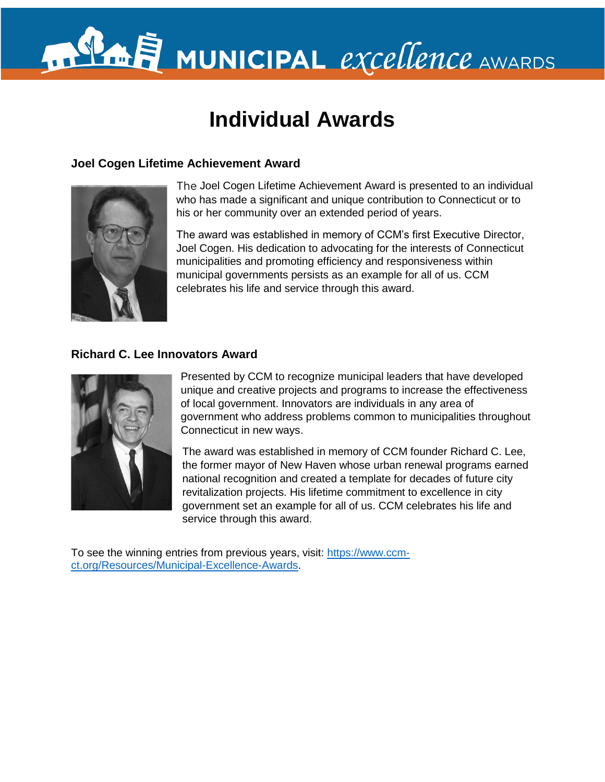### **Individual Awards**

#### **Joel Cogen Lifetime Achievement Award**



The Joel Cogen Lifetime Achievement Award is presented to an individual who has made a significant and unique contribution to Connecticut or to his or her community over an extended period of years.

The award was established in memory of CCM's first Executive Director, Joel Cogen. His dedication to advocating for the interests of Connecticut municipalities and promoting efficiency and responsiveness within municipal governments persists as an example for all of us. CCM celebrates his life and service through this award.

#### **Richard C. Lee Innovators Award**



Presented by CCM to recognize municipal leaders that have developed unique and creative projects and programs to increase the effectiveness of local government. Innovators are individuals in any area of government who address problems common to municipalities throughout Connecticut in new ways.

The award was established in memory of CCM founder Richard C. Lee, the former mayor of New Haven whose urban renewal programs earned national recognition and created a template for decades of future city revitalization projects. His lifetime commitment to excellence in city government set an example for all of us. CCM celebrates his life and service through this award.

To see the winning entries from previous years, visit: [https://www.ccm](https://www.ccm-ct.org/Resources/Municipal-Excellence-Awards)[ct.org/Resources/Municipal-Excellence-Awards.](https://www.ccm-ct.org/Resources/Municipal-Excellence-Awards)